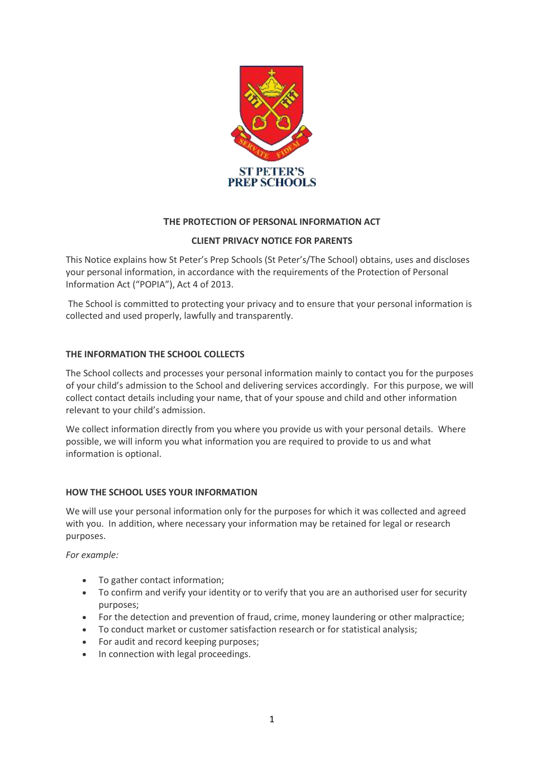

# **THE PROTECTION OF PERSONAL INFORMATION ACT**

## **CLIENT PRIVACY NOTICE FOR PARENTS**

This Notice explains how St Peter's Prep Schools (St Peter's/The School) obtains, uses and discloses your personal information, in accordance with the requirements of the Protection of Personal Information Act ("POPIA"), Act 4 of 2013.

The School is committed to protecting your privacy and to ensure that your personal information is collected and used properly, lawfully and transparently.

### **THE INFORMATION THE SCHOOL COLLECTS**

The School collects and processes your personal information mainly to contact you for the purposes of your child's admission to the School and delivering services accordingly. For this purpose, we will collect contact details including your name, that of your spouse and child and other information relevant to your child's admission.

We collect information directly from you where you provide us with your personal details. Where possible, we will inform you what information you are required to provide to us and what information is optional.

#### **HOW THE SCHOOL USES YOUR INFORMATION**

We will use your personal information only for the purposes for which it was collected and agreed with you. In addition, where necessary your information may be retained for legal or research purposes.

*For example:*

- To gather contact information;
- To confirm and verify your identity or to verify that you are an authorised user for security purposes;
- For the detection and prevention of fraud, crime, money laundering or other malpractice;
- To conduct market or customer satisfaction research or for statistical analysis;
- For audit and record keeping purposes;
- In connection with legal proceedings.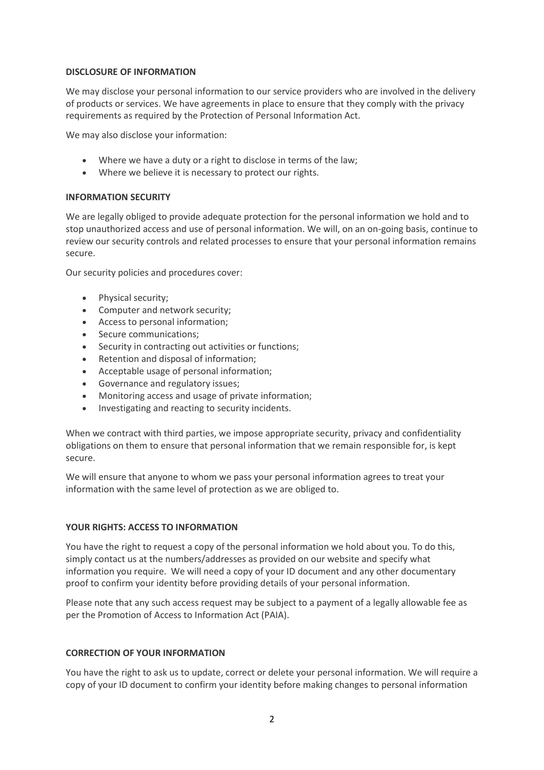#### **DISCLOSURE OF INFORMATION**

We may disclose your personal information to our service providers who are involved in the delivery of products or services. We have agreements in place to ensure that they comply with the privacy requirements as required by the Protection of Personal Information Act.

We may also disclose your information:

- Where we have a duty or a right to disclose in terms of the law;
- Where we believe it is necessary to protect our rights.

#### **INFORMATION SECURITY**

We are legally obliged to provide adequate protection for the personal information we hold and to stop unauthorized access and use of personal information. We will, on an on-going basis, continue to review our security controls and related processes to ensure that your personal information remains secure.

Our security policies and procedures cover:

- Physical security;
- Computer and network security;
- Access to personal information;
- Secure communications;
- Security in contracting out activities or functions;
- Retention and disposal of information;
- Acceptable usage of personal information;
- Governance and regulatory issues;
- Monitoring access and usage of private information;
- Investigating and reacting to security incidents.

When we contract with third parties, we impose appropriate security, privacy and confidentiality obligations on them to ensure that personal information that we remain responsible for, is kept secure.

We will ensure that anyone to whom we pass your personal information agrees to treat your information with the same level of protection as we are obliged to.

#### **YOUR RIGHTS: ACCESS TO INFORMATION**

You have the right to request a copy of the personal information we hold about you. To do this, simply contact us at the numbers/addresses as provided on our website and specify what information you require. We will need a copy of your ID document and any other documentary proof to confirm your identity before providing details of your personal information.

Please note that any such access request may be subject to a payment of a legally allowable fee as per the Promotion of Access to Information Act (PAIA).

#### **CORRECTION OF YOUR INFORMATION**

You have the right to ask us to update, correct or delete your personal information. We will require a copy of your ID document to confirm your identity before making changes to personal information